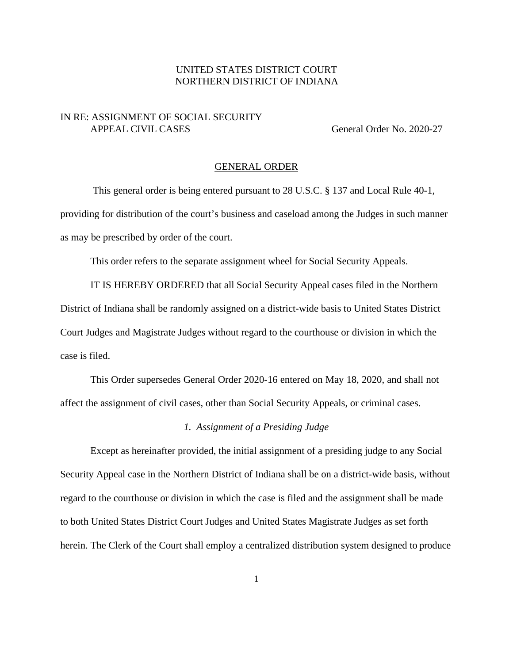# UNITED STATES DISTRICT COURT NORTHERN DISTRICT OF INDIANA

## IN RE: ASSIGNMENT OF SOCIAL SECURITY APPEAL CIVIL CASES General Order No. 2020-27

### GENERAL ORDER

This general order is being entered pursuant to 28 U.S.C. § 137 and Local Rule 40-1, providing for distribution of the court's business and caseload among the Judges in such manner as may be prescribed by order of the court.

This order refers to the separate assignment wheel for Social Security Appeals.

IT IS HEREBY ORDERED that all Social Security Appeal cases filed in the Northern District of Indiana shall be randomly assigned on a district-wide basis to United States District Court Judges and Magistrate Judges without regard to the courthouse or division in which the case is filed.

This Order supersedes General Order 2020-16 entered on May 18, 2020, and shall not affect the assignment of civil cases, other than Social Security Appeals, or criminal cases.

#### *1. Assignment of a Presiding Judge*

Except as hereinafter provided, the initial assignment of a presiding judge to any Social Security Appeal case in the Northern District of Indiana shall be on a district-wide basis, without regard to the courthouse or division in which the case is filed and the assignment shall be made to both United States District Court Judges and United States Magistrate Judges as set forth herein. The Clerk of the Court shall employ a centralized distribution system designed to produce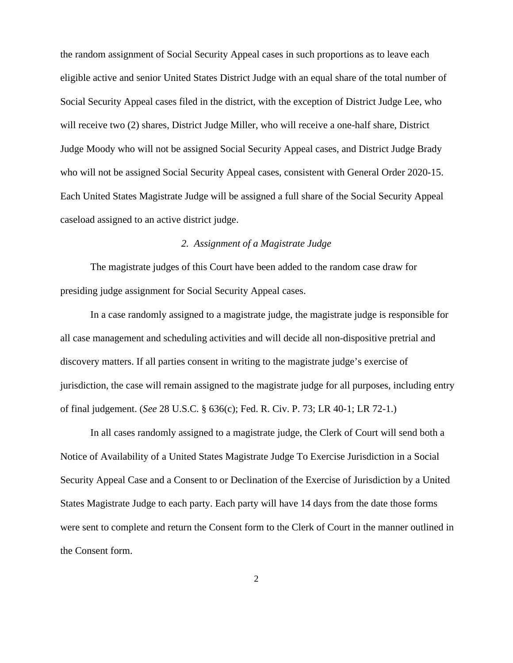the random assignment of Social Security Appeal cases in such proportions as to leave each eligible active and senior United States District Judge with an equal share of the total number of Social Security Appeal cases filed in the district, with the exception of District Judge Lee, who will receive two (2) shares, District Judge Miller, who will receive a one-half share, District Judge Moody who will not be assigned Social Security Appeal cases, and District Judge Brady who will not be assigned Social Security Appeal cases, consistent with General Order 2020-15. Each United States Magistrate Judge will be assigned a full share of the Social Security Appeal caseload assigned to an active district judge.

### *2. Assignment of a Magistrate Judge*

The magistrate judges of this Court have been added to the random case draw for presiding judge assignment for Social Security Appeal cases.

In a case randomly assigned to a magistrate judge, the magistrate judge is responsible for all case management and scheduling activities and will decide all non-dispositive pretrial and discovery matters. If all parties consent in writing to the magistrate judge's exercise of jurisdiction, the case will remain assigned to the magistrate judge for all purposes, including entry of final judgement. (*See* 28 U.S.C. § 636(c); Fed. R. Civ. P. 73; LR 40-1; LR 72-1.)

In all cases randomly assigned to a magistrate judge, the Clerk of Court will send both a Notice of Availability of a United States Magistrate Judge To Exercise Jurisdiction in a Social Security Appeal Case and a Consent to or Declination of the Exercise of Jurisdiction by a United States Magistrate Judge to each party. Each party will have 14 days from the date those forms were sent to complete and return the Consent form to the Clerk of Court in the manner outlined in the Consent form.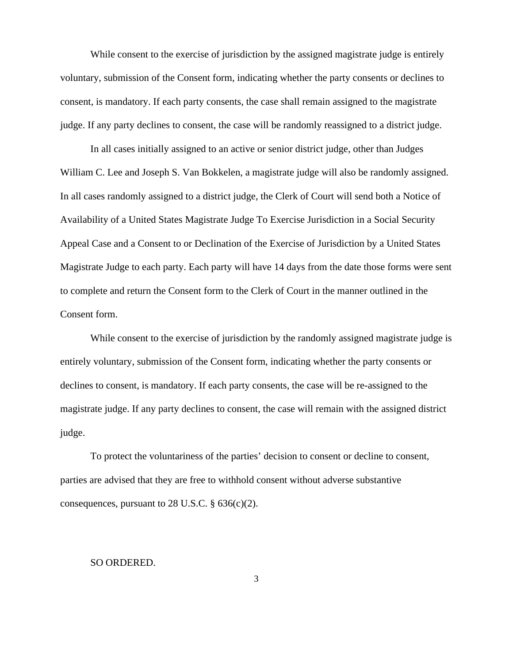While consent to the exercise of jurisdiction by the assigned magistrate judge is entirely voluntary, submission of the Consent form, indicating whether the party consents or declines to consent, is mandatory. If each party consents, the case shall remain assigned to the magistrate judge. If any party declines to consent, the case will be randomly reassigned to a district judge.

In all cases initially assigned to an active or senior district judge, other than Judges William C. Lee and Joseph S. Van Bokkelen, a magistrate judge will also be randomly assigned. In all cases randomly assigned to a district judge, the Clerk of Court will send both a Notice of Availability of a United States Magistrate Judge To Exercise Jurisdiction in a Social Security Appeal Case and a Consent to or Declination of the Exercise of Jurisdiction by a United States Magistrate Judge to each party. Each party will have 14 days from the date those forms were sent to complete and return the Consent form to the Clerk of Court in the manner outlined in the Consent form.

While consent to the exercise of jurisdiction by the randomly assigned magistrate judge is entirely voluntary, submission of the Consent form, indicating whether the party consents or declines to consent, is mandatory. If each party consents, the case will be re-assigned to the magistrate judge. If any party declines to consent, the case will remain with the assigned district judge.

To protect the voluntariness of the parties' decision to consent or decline to consent, parties are advised that they are free to withhold consent without adverse substantive consequences, pursuant to 28 U.S.C.  $\S$  636(c)(2).

## SO ORDERED.

3